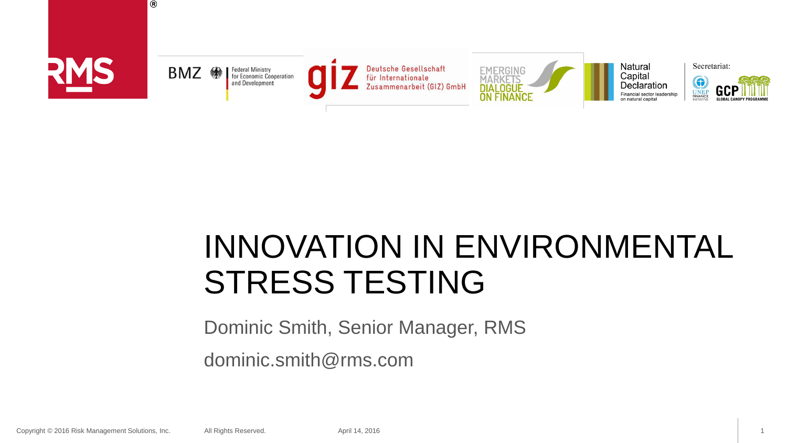

 $^{\circledR}$ 

Federal Ministry<br>for Economic Cooperation BMZ « and Development

Deutsche Gesellschaft für Internationale Zusammenarbeit (GIZ) Gmbŀ



# INNOVATION IN ENVIRONMENTAL STRESS TESTING

Dominic Smith, Senior Manager, RMS

dominic.smith@rms.com

Copyright © 2016 Risk Management Solutions, Inc. All Rights Reserved. April 14, 2016 1

### **Natural** Capital **Declaration**

Financial sector leadership

### Secretariat:

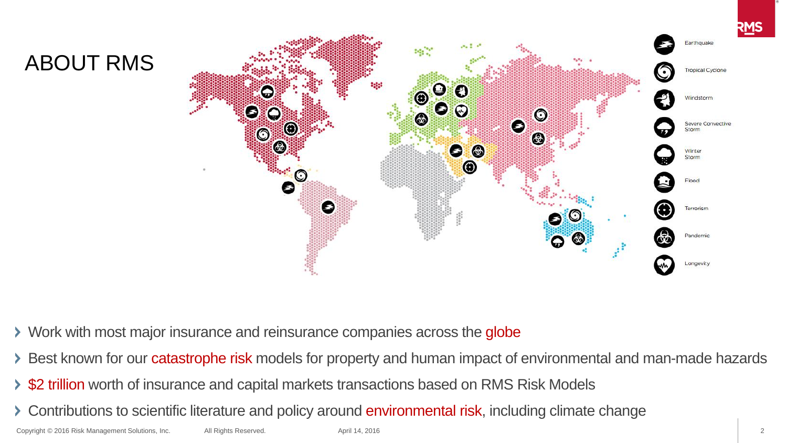- **▶ Work with most major insurance and reinsurance companies across the globe**
- > Best known for our catastrophe risk models for property and human impact of environmental and man-made hazards
- ▶ \$2 trillion worth of insurance and capital markets transactions based on RMS Risk Models
- Contributions to scientific literature and policy around environmental risk, including climate change

Copyright © 2016 Risk Management Solutions, Inc. All Rights Reserved. April 14, 2016 2







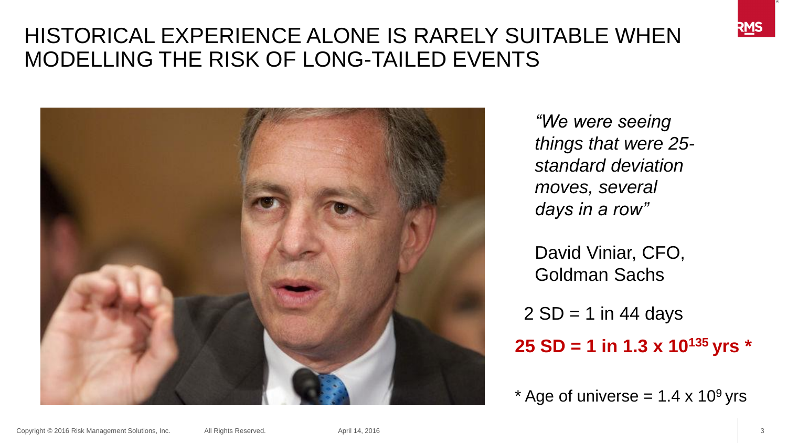### HISTORICAL EXPERIENCE ALONE IS RARELY SUITABLE WHEN MODELLING THE RISK OF LONG-TAILED EVENTS



*"We were seeing things that were 25 standard deviation moves, several days in a row"*

David Viniar, CFO, Goldman Sachs

 $2$  SD = 1 in 44 days

**25 SD = 1 in 1.3 x 10 <sup>135</sup>yrs \***

 $*$  Age of universe = 1.4 x 10<sup>9</sup> yrs

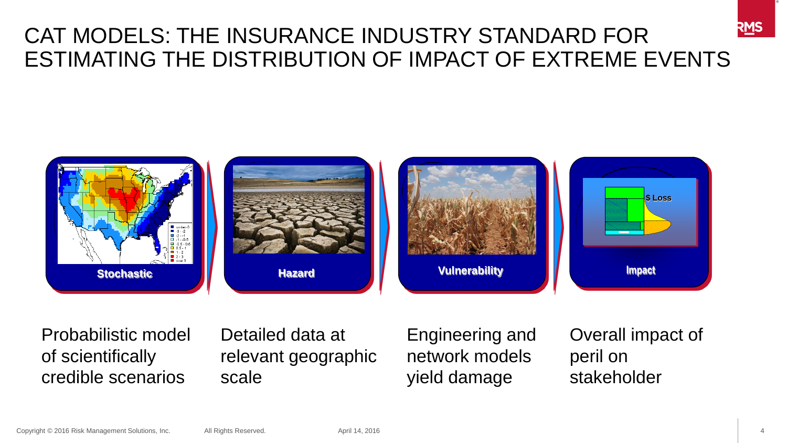## CAT MODELS: THE INSURANCE INDUSTRY STANDARD FOR ESTIMATING THE DISTRIBUTION OF IMPACT OF EXTREME EVENTS



Probabilistic model of scientifically credible scenarios

Detailed data at relevant geographic scale

Engineering and network models yield damage

# Overall impact of stakeholder

peril on

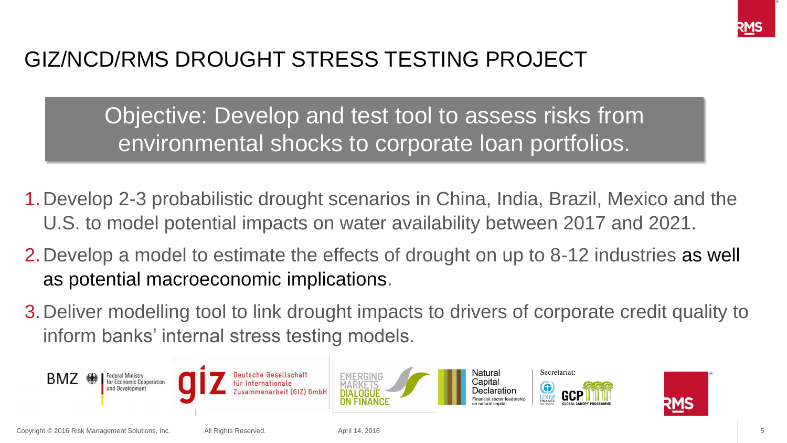## GIZ/NCD/RMS DROUGHT STRESS TESTING PROJECT

- 1.Develop 2-3 probabilistic drought scenarios in China, India, Brazil, Mexico and the U.S. to model potential impacts on water availability between 2017 and 2021.
- 2.Develop a model to estimate the effects of drought on up to 8-12 industries as well as potential macroeconomic implications.
- 3.Deliver modelling tool to link drought impacts to drivers of corporate credit quality to inform banks' internal stress testing models.









Objective: Develop and test tool to assess risks from environmental shocks to corporate loan portfolios.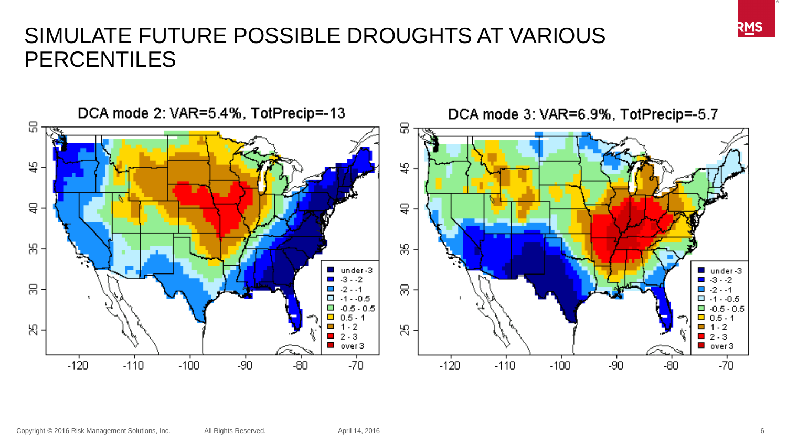### SIMULATE FUTURE POSSIBLE DROUGHTS AT VARIOUS **PERCENTILES**



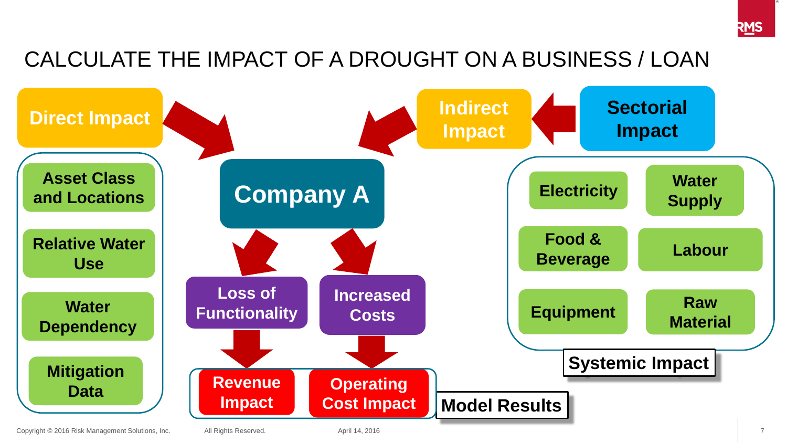## CALCULATE THE IMPACT OF A DROUGHT ON A BUSINESS / LOAN



Copyright © 2016 Risk Management Solutions, Inc. All Rights Reserved. April 14, 2016 7 April 14, 2016

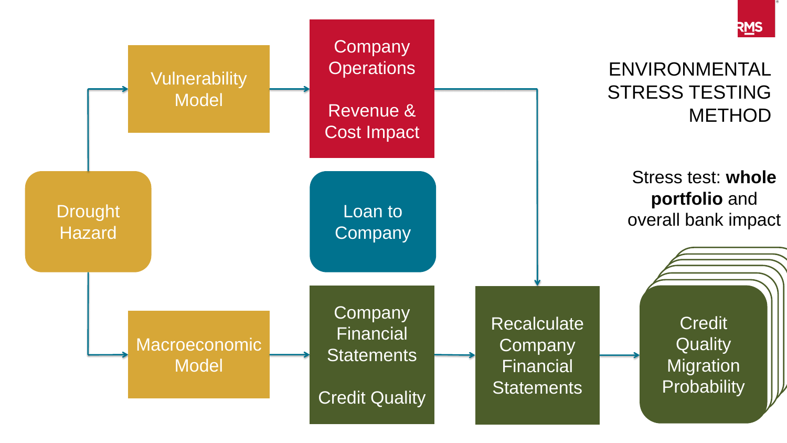



Credit

### ENVIRONMENTAL STRESS TESTING **METHOD**

Credit

### Stress test: **whole portfolio** and overall bank impact

### $\mathcal{L}(\mathcal{A})$ e<br>Creditte  $\sim$ dit Credit edit **Credit** redit edit **II** Quality  $\overline{\text{B}}$  is different to the set of  $\overline{\text{B}}$  $\mathfrak{D}$ uality uality Quality **Car** ) and  $\mathbb{P}$ Wuality<br>Linna Card Migration  $\overline{\text{r}}$ iaration ligration Probability